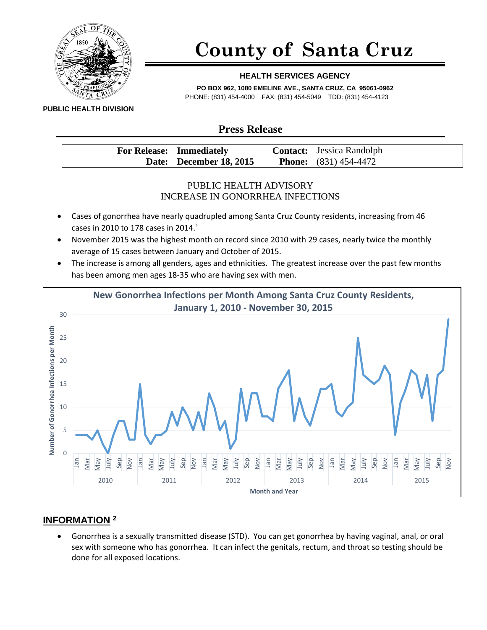

# **County of Santa Cruz**

### **HEALTH SERVICES AGENCY**

**PO BOX 962, 1080 EMELINE AVE., SANTA CRUZ, CA 95061-0962** PHONE: (831) 454-4000 FAX: (831) 454-5049 TDD: (831) 454-4123

**PUBLIC HEALTH DIVISION**

## **Press Release**

| <b>For Release: Immediately</b> | <b>Contact:</b> Jessica Randolph |
|---------------------------------|----------------------------------|
| Date: December 18, 2015         | <b>Phone:</b> $(831) 454-4472$   |

### PUBLIC HEALTH ADVISORY INCREASE IN GONORRHEA INFECTIONS

- Cases of gonorrhea have nearly quadrupled among Santa Cruz County residents, increasing from 46 cases in 2010 to 178 cases in 2014.<sup>1</sup>
- November 2015 was the highest month on record since 2010 with 29 cases, nearly twice the monthly average of 15 cases between January and October of 2015.
- The increase is among all genders, ages and ethnicities. The greatest increase over the past few months has been among men ages 18-35 who are having sex with men.



### **INFORMATION <sup>2</sup>**

 Gonorrhea is a sexually transmitted disease (STD). You can get gonorrhea by having vaginal, anal, or oral sex with someone who has gonorrhea. It can infect the genitals, rectum, and throat so testing should be done for all exposed locations.